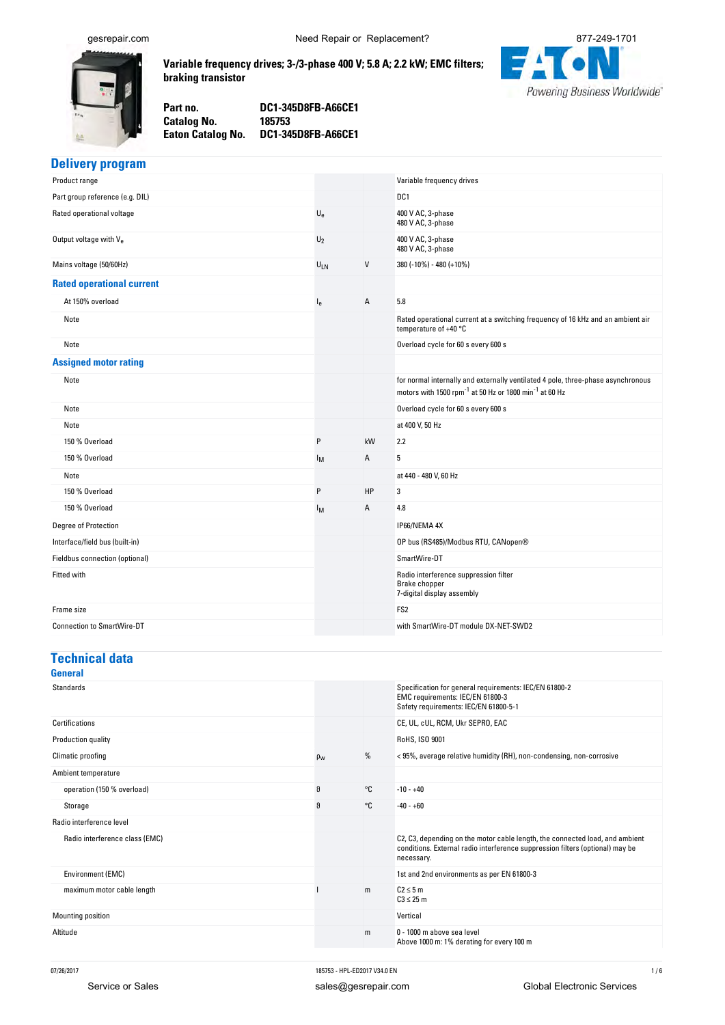<span id="page-0-0"></span>

**Variable-frequency-drives;-3-/3-phase-400-V;-5.8-A;-2.2-kW;-EMC-filters; braking-transistor**

**No. DC1-345D8FB-A66CE1**



Part no. **no. DC1-345D8FB-A66CE1 Catalog No. No. 185753**

**Eaton-Catalog-**

**Delivery-program**

| Product range                      |         |    | Variable frequency drives                                                                                                                                          |
|------------------------------------|---------|----|--------------------------------------------------------------------------------------------------------------------------------------------------------------------|
| Part group reference (e.g. DIL)    |         |    | DC <sub>1</sub>                                                                                                                                                    |
| Rated operational voltage          | $U_{e}$ |    | 400 V AC, 3-phase<br>480 V AC, 3-phase                                                                                                                             |
| Output voltage with V <sub>e</sub> | $U_2$   |    | 400 V AC, 3-phase<br>480 V AC, 3-phase                                                                                                                             |
| Mains voltage (50/60Hz)            | ULN     | V  | 380 (-10%) - 480 (+10%)                                                                                                                                            |
| <b>Rated operational current</b>   |         |    |                                                                                                                                                                    |
| At 150% overload                   | $I_{e}$ | А  | 5.8                                                                                                                                                                |
| Note                               |         |    | Rated operational current at a switching frequency of 16 kHz and an ambient air<br>temperature of +40 °C                                                           |
| Note                               |         |    | Overload cycle for 60 s every 600 s                                                                                                                                |
| <b>Assigned motor rating</b>       |         |    |                                                                                                                                                                    |
| Note                               |         |    | for normal internally and externally ventilated 4 pole, three-phase asynchronous<br>motors with 1500 rpm <sup>-1</sup> at 50 Hz or 1800 min <sup>-1</sup> at 60 Hz |
| Note                               |         |    | Overload cycle for 60 s every 600 s                                                                                                                                |
| Note                               |         |    | at 400 V, 50 Hz                                                                                                                                                    |
| 150 % Overload                     | P       | kW | 2.2                                                                                                                                                                |
| 150 % Overload                     | Iм      | А  | 5                                                                                                                                                                  |
| Note                               |         |    | at 440 - 480 V, 60 Hz                                                                                                                                              |
| 150 % Overload                     | P       | HP | 3                                                                                                                                                                  |
| 150 % Overload                     | Iм      | А  | 4.8                                                                                                                                                                |
| Degree of Protection               |         |    | IP66/NEMA 4X                                                                                                                                                       |
| Interface/field bus (built-in)     |         |    | OP bus (RS485)/Modbus RTU, CANopen®                                                                                                                                |
| Fieldbus connection (optional)     |         |    | SmartWire-DT                                                                                                                                                       |
| Fitted with                        |         |    | Radio interference suppression filter<br>Brake chopper<br>7-digital display assembly                                                                               |
| Frame size                         |         |    | FS <sub>2</sub>                                                                                                                                                    |
| <b>Connection to SmartWire-DT</b>  |         |    | with SmartWire-DT module DX-NET-SWD2                                                                                                                               |
|                                    |         |    |                                                                                                                                                                    |

### **Technical data**

| General                        |          |    |                                                                                                                                                                             |
|--------------------------------|----------|----|-----------------------------------------------------------------------------------------------------------------------------------------------------------------------------|
| <b>Standards</b>               |          |    | Specification for general requirements: IEC/EN 61800-2<br>EMC requirements: IEC/EN 61800-3<br>Safety requirements: IEC/EN 61800-5-1                                         |
| Certifications                 |          |    | CE, UL, cUL, RCM, Ukr SEPRO, EAC                                                                                                                                            |
| Production quality             |          |    | RoHS, ISO 9001                                                                                                                                                              |
| Climatic proofing              | $\rho_w$ | %  | <95%, average relative humidity (RH), non-condensing, non-corrosive                                                                                                         |
| Ambient temperature            |          |    |                                                                                                                                                                             |
| operation (150 % overload)     | θ        | °C | $-10 - +40$                                                                                                                                                                 |
| Storage                        | θ        | °C | $-40 - +60$                                                                                                                                                                 |
| Radio interference level       |          |    |                                                                                                                                                                             |
| Radio interference class (EMC) |          |    | C2, C3, depending on the motor cable length, the connected load, and ambient<br>conditions. External radio interference suppression filters (optional) may be<br>necessary. |
| Environment (EMC)              |          |    | 1st and 2nd environments as per EN 61800-3                                                                                                                                  |
| maximum motor cable length     |          | m  | $C2 \leq 5$ m<br>$C3 \leq 25$ m                                                                                                                                             |
| Mounting position              |          |    | Vertical                                                                                                                                                                    |
| Altitude                       |          | m  | 0 - 1000 m above sea level<br>Above 1000 m: 1% derating for every 100 m                                                                                                     |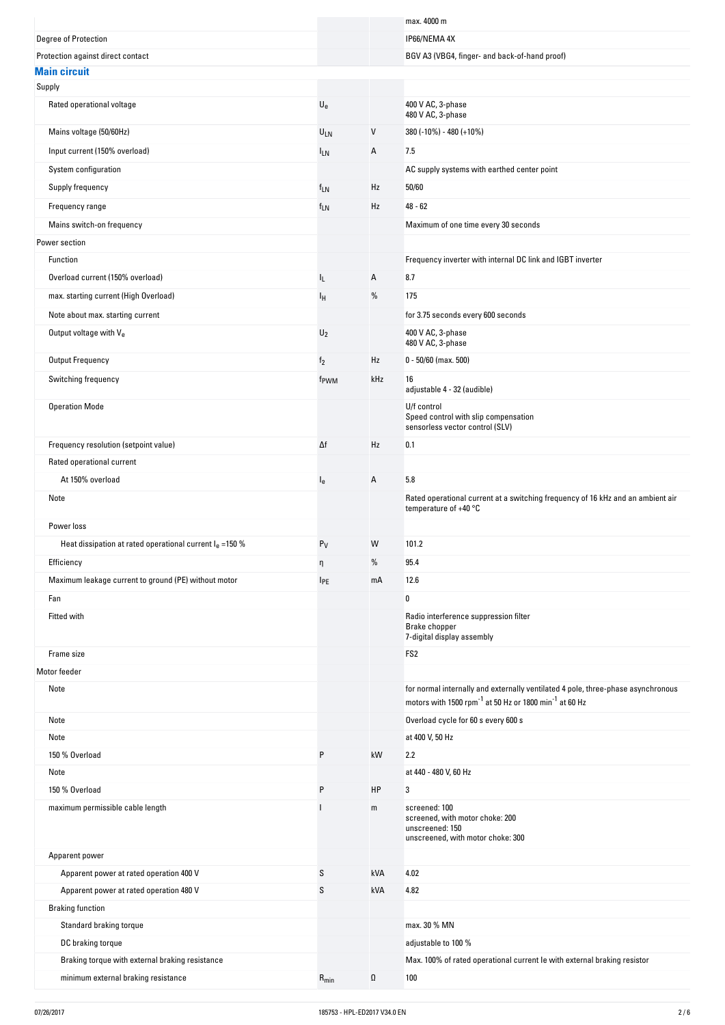|                                                             |                           |      | max. 4000 m                                                                                                                                                        |
|-------------------------------------------------------------|---------------------------|------|--------------------------------------------------------------------------------------------------------------------------------------------------------------------|
| Degree of Protection                                        |                           |      | IP66/NEMA 4X                                                                                                                                                       |
| Protection against direct contact                           |                           |      | BGV A3 (VBG4, finger- and back-of-hand proof)                                                                                                                      |
| <b>Main circuit</b>                                         |                           |      |                                                                                                                                                                    |
| Supply                                                      |                           |      |                                                                                                                                                                    |
| Rated operational voltage                                   | $\mathsf{U}_{\mathsf{e}}$ |      | 400 V AC, 3-phase<br>480 V AC, 3-phase                                                                                                                             |
| Mains voltage (50/60Hz)                                     | ULN                       | V    | $380 (-10\%) - 480 (+10\%)$                                                                                                                                        |
| Input current (150% overload)                               | <b>ILN</b>                | Α    | 7.5                                                                                                                                                                |
| System configuration                                        |                           |      | AC supply systems with earthed center point                                                                                                                        |
| Supply frequency                                            | $f_{LN}$                  | Hz   | 50/60                                                                                                                                                              |
| Frequency range                                             | f <sub>LN</sub>           | Hz   | $48 - 62$                                                                                                                                                          |
| Mains switch-on frequency                                   |                           |      | Maximum of one time every 30 seconds                                                                                                                               |
| Power section                                               |                           |      |                                                                                                                                                                    |
| Function                                                    |                           |      | Frequency inverter with internal DC link and IGBT inverter                                                                                                         |
| Overload current (150% overload)                            | IL.                       | Α    | 8.7                                                                                                                                                                |
| max. starting current (High Overload)                       |                           | %    | 175                                                                                                                                                                |
|                                                             | Ιн                        |      |                                                                                                                                                                    |
| Note about max. starting current                            |                           |      | for 3.75 seconds every 600 seconds                                                                                                                                 |
| Output voltage with $V_{e}$                                 | $U_2$                     |      | 400 V AC, 3-phase<br>480 V AC, 3-phase                                                                                                                             |
| Output Frequency                                            | f <sub>2</sub>            | Hz   | $0 - 50/60$ (max. 500)                                                                                                                                             |
| Switching frequency                                         | f <sub>PWM</sub>          | kHz  | 16<br>adjustable 4 - 32 (audible)                                                                                                                                  |
| <b>Operation Mode</b>                                       |                           |      | U/f control<br>Speed control with slip compensation<br>sensorless vector control (SLV)                                                                             |
| Frequency resolution (setpoint value)                       | Δf                        | Hz   | 0.1                                                                                                                                                                |
| Rated operational current                                   |                           |      |                                                                                                                                                                    |
| At 150% overload                                            | l <sub>e</sub>            | Α    | 5.8                                                                                                                                                                |
| Note                                                        |                           |      | Rated operational current at a switching frequency of 16 kHz and an ambient air<br>temperature of $+40$ °C                                                         |
| Power loss                                                  |                           |      |                                                                                                                                                                    |
| Heat dissipation at rated operational current $I_e = 150\%$ | $P_V$                     | W    | 101.2                                                                                                                                                              |
| Efficiency                                                  | Ч.                        | $\%$ | 95.4                                                                                                                                                               |
| Maximum leakage current to ground (PE) without motor        | <b>IPE</b>                | mA   | 12.6                                                                                                                                                               |
| Fan                                                         |                           |      | $\pmb{0}$                                                                                                                                                          |
|                                                             |                           |      |                                                                                                                                                                    |
| Fitted with                                                 |                           |      | Radio interference suppression filter<br>Brake chopper<br>7-digital display assembly                                                                               |
| Frame size                                                  |                           |      | FS <sub>2</sub>                                                                                                                                                    |
| Motor feeder<br>Note                                        |                           |      | for normal internally and externally ventilated 4 pole, three-phase asynchronous<br>motors with 1500 rpm <sup>-1</sup> at 50 Hz or 1800 min <sup>-1</sup> at 60 Hz |
| Note                                                        |                           |      | Overload cycle for 60 s every 600 s                                                                                                                                |
| Note                                                        |                           |      | at 400 V, 50 Hz                                                                                                                                                    |
| 150 % Overload                                              | P                         | kW   | 2.2                                                                                                                                                                |
| Note                                                        |                           |      | at 440 - 480 V, 60 Hz                                                                                                                                              |
| 150 % Overload                                              | P                         | HP   | 3                                                                                                                                                                  |
| maximum permissible cable length                            |                           | m    | screened: 100                                                                                                                                                      |
|                                                             |                           |      | screened, with motor choke: 200<br>unscreened: 150<br>unscreened, with motor choke: 300                                                                            |
| Apparent power                                              |                           |      |                                                                                                                                                                    |
| Apparent power at rated operation 400 V                     | S                         | kVA  | 4.02                                                                                                                                                               |
| Apparent power at rated operation 480 V                     | S                         | kVA  | 4.82                                                                                                                                                               |
| <b>Braking function</b>                                     |                           |      |                                                                                                                                                                    |
| Standard braking torque                                     |                           |      | max. 30 % MN                                                                                                                                                       |
| DC braking torque                                           |                           |      | adjustable to 100 %                                                                                                                                                |
| Braking torque with external braking resistance             |                           |      | Max. 100% of rated operational current le with external braking resistor                                                                                           |
| minimum external braking resistance                         | $R_{min}$                 | Ω    | 100                                                                                                                                                                |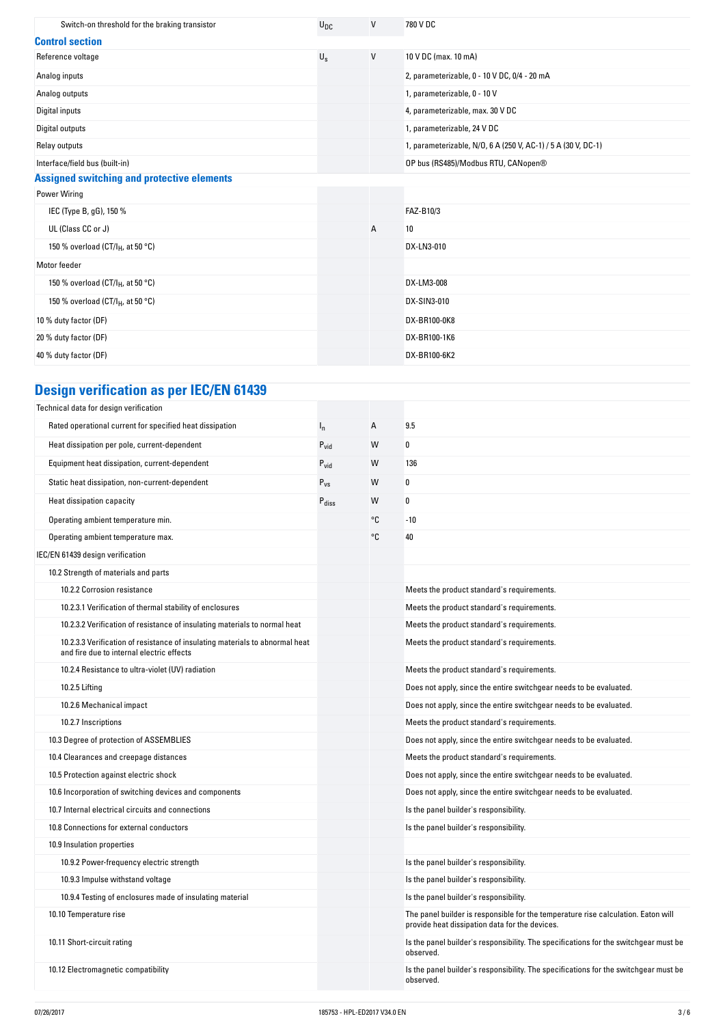| Switch-on threshold for the braking transistor    | $U_{DC}$    | V | 780 V DC                                                      |  |  |
|---------------------------------------------------|-------------|---|---------------------------------------------------------------|--|--|
| <b>Control section</b>                            |             |   |                                                               |  |  |
| Reference voltage                                 | $U_{\rm S}$ | V | 10 V DC (max. 10 mA)                                          |  |  |
| Analog inputs                                     |             |   | 2, parameterizable, 0 - 10 V DC, 0/4 - 20 mA                  |  |  |
| Analog outputs                                    |             |   | 1, parameterizable, 0 - 10 V                                  |  |  |
| Digital inputs                                    |             |   | 4, parameterizable, max. 30 V DC                              |  |  |
| Digital outputs                                   |             |   | 1, parameterizable, 24 V DC                                   |  |  |
| Relay outputs                                     |             |   | 1, parameterizable, N/O, 6 A (250 V, AC-1) / 5 A (30 V, DC-1) |  |  |
| Interface/field bus (built-in)                    |             |   | OP bus (RS485)/Modbus RTU, CANopen®                           |  |  |
| <b>Assigned switching and protective elements</b> |             |   |                                                               |  |  |
| <b>Power Wiring</b>                               |             |   |                                                               |  |  |
| IEC (Type B, gG), 150 %                           |             |   | FAZ-B10/3                                                     |  |  |
| UL (Class CC or J)                                |             | А | 10                                                            |  |  |
| 150 % overload (CT/I <sub>H</sub> , at 50 °C)     |             |   | DX-LN3-010                                                    |  |  |
| Motor feeder                                      |             |   |                                                               |  |  |
| 150 % overload (CT/I <sub>H</sub> , at 50 °C)     |             |   | DX-LM3-008                                                    |  |  |
| 150 % overload (CT/I <sub>H</sub> , at 50 °C)     |             |   | DX-SIN3-010                                                   |  |  |
| 10 % duty factor (DF)                             |             |   | DX-BR100-0K8                                                  |  |  |
| 20 % duty factor (DF)                             |             |   | DX-BR100-1K6                                                  |  |  |
| 40 % duty factor (DF)                             |             |   | DX-BR100-6K2                                                  |  |  |

# **Design-verification-as-per-IEC/EN-61439**

| Technical data for design verification                                                                                    |                   |    |                                                                                                                                     |
|---------------------------------------------------------------------------------------------------------------------------|-------------------|----|-------------------------------------------------------------------------------------------------------------------------------------|
| Rated operational current for specified heat dissipation                                                                  | $I_{n}$           | A  | 9.5                                                                                                                                 |
| Heat dissipation per pole, current-dependent                                                                              | $P_{vid}$         | W  | 0                                                                                                                                   |
| Equipment heat dissipation, current-dependent                                                                             | $P_{\text{vid}}$  | W  | 136                                                                                                                                 |
| Static heat dissipation, non-current-dependent                                                                            | $P_{VS}$          | W  | 0                                                                                                                                   |
| Heat dissipation capacity                                                                                                 | $P_{\text{diss}}$ | W  | 0                                                                                                                                   |
| Operating ambient temperature min.                                                                                        |                   | °C | $-10$                                                                                                                               |
| Operating ambient temperature max.                                                                                        |                   | °C | 40                                                                                                                                  |
| IEC/EN 61439 design verification                                                                                          |                   |    |                                                                                                                                     |
| 10.2 Strength of materials and parts                                                                                      |                   |    |                                                                                                                                     |
| 10.2.2 Corrosion resistance                                                                                               |                   |    | Meets the product standard's requirements.                                                                                          |
| 10.2.3.1 Verification of thermal stability of enclosures                                                                  |                   |    | Meets the product standard's requirements.                                                                                          |
| 10.2.3.2 Verification of resistance of insulating materials to normal heat                                                |                   |    | Meets the product standard's requirements.                                                                                          |
| 10.2.3.3 Verification of resistance of insulating materials to abnormal heat<br>and fire due to internal electric effects |                   |    | Meets the product standard's requirements.                                                                                          |
| 10.2.4 Resistance to ultra-violet (UV) radiation                                                                          |                   |    | Meets the product standard's requirements.                                                                                          |
| 10.2.5 Lifting                                                                                                            |                   |    | Does not apply, since the entire switchgear needs to be evaluated.                                                                  |
| 10.2.6 Mechanical impact                                                                                                  |                   |    | Does not apply, since the entire switchgear needs to be evaluated.                                                                  |
| 10.2.7 Inscriptions                                                                                                       |                   |    | Meets the product standard's requirements.                                                                                          |
| 10.3 Degree of protection of ASSEMBLIES                                                                                   |                   |    | Does not apply, since the entire switchgear needs to be evaluated.                                                                  |
| 10.4 Clearances and creepage distances                                                                                    |                   |    | Meets the product standard's requirements.                                                                                          |
| 10.5 Protection against electric shock                                                                                    |                   |    | Does not apply, since the entire switchgear needs to be evaluated.                                                                  |
| 10.6 Incorporation of switching devices and components                                                                    |                   |    | Does not apply, since the entire switchgear needs to be evaluated.                                                                  |
| 10.7 Internal electrical circuits and connections                                                                         |                   |    | Is the panel builder's responsibility.                                                                                              |
| 10.8 Connections for external conductors                                                                                  |                   |    | Is the panel builder's responsibility.                                                                                              |
| 10.9 Insulation properties                                                                                                |                   |    |                                                                                                                                     |
| 10.9.2 Power-frequency electric strength                                                                                  |                   |    | Is the panel builder's responsibility.                                                                                              |
| 10.9.3 Impulse withstand voltage                                                                                          |                   |    | Is the panel builder's responsibility.                                                                                              |
| 10.9.4 Testing of enclosures made of insulating material                                                                  |                   |    | Is the panel builder's responsibility.                                                                                              |
| 10.10 Temperature rise                                                                                                    |                   |    | The panel builder is responsible for the temperature rise calculation. Eaton will<br>provide heat dissipation data for the devices. |
| 10.11 Short-circuit rating                                                                                                |                   |    | Is the panel builder's responsibility. The specifications for the switchgear must be<br>observed.                                   |
| 10.12 Electromagnetic compatibility                                                                                       |                   |    | Is the panel builder's responsibility. The specifications for the switchgear must be<br>observed.                                   |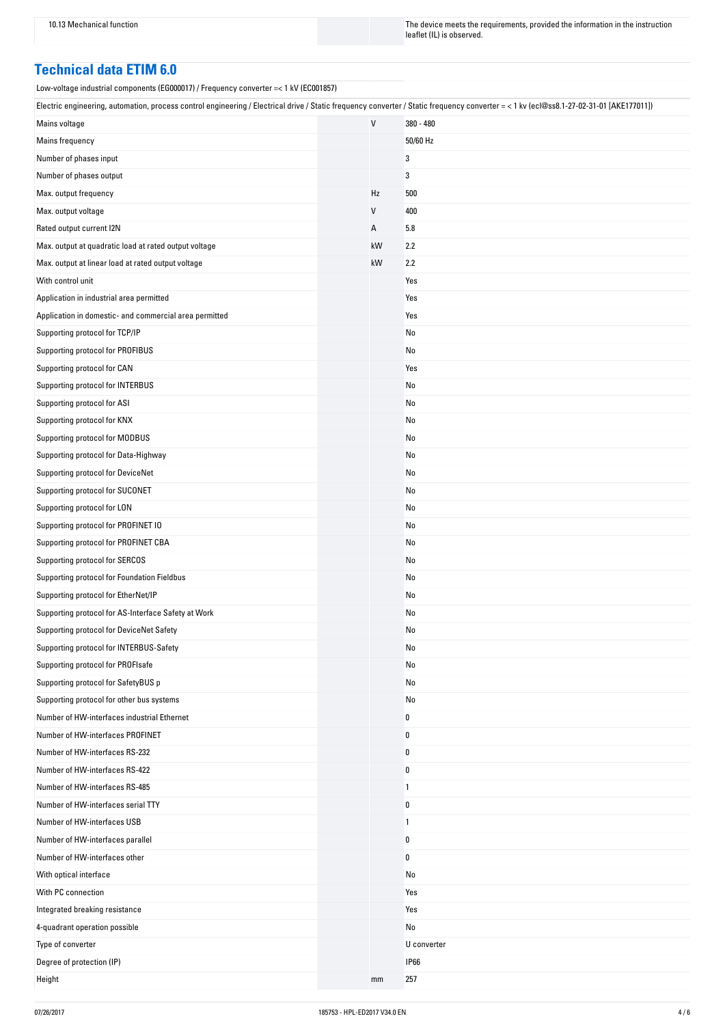10.13 Mechanical function The instruction The device meets the requirements, provided the information in the instruction leaflet (IL) is observed.

## **Technical-data-ETIM-6.0**

Low-voltage industrial components (EG000017) / Frequency converter =< 1 kV (EC001857)

| Electric engineering, automation, process control engineering / Electrical drive / Static frequency converter / Static frequency converter = < 1 kv (ecl@ss8.1-27-02-31-01 [AKE177011]) |  |    |             |
|-----------------------------------------------------------------------------------------------------------------------------------------------------------------------------------------|--|----|-------------|
| Mains voltage                                                                                                                                                                           |  | V  | 380 - 480   |
| Mains frequency                                                                                                                                                                         |  |    | 50/60 Hz    |
| Number of phases input                                                                                                                                                                  |  |    | 3           |
| Number of phases output                                                                                                                                                                 |  |    | 3           |
| Max. output frequency                                                                                                                                                                   |  | Hz | 500         |
| Max. output voltage                                                                                                                                                                     |  | V  | 400         |
| Rated output current I2N                                                                                                                                                                |  | А  | 5.8         |
| Max. output at quadratic load at rated output voltage                                                                                                                                   |  | kW | 2.2         |
| Max. output at linear load at rated output voltage                                                                                                                                      |  | kW | 2.2         |
| With control unit                                                                                                                                                                       |  |    | Yes         |
| Application in industrial area permitted                                                                                                                                                |  |    | Yes         |
| Application in domestic- and commercial area permitted                                                                                                                                  |  |    | Yes         |
| Supporting protocol for TCP/IP                                                                                                                                                          |  |    | No          |
| Supporting protocol for PROFIBUS                                                                                                                                                        |  |    | No          |
| Supporting protocol for CAN                                                                                                                                                             |  |    | Yes         |
| Supporting protocol for INTERBUS                                                                                                                                                        |  |    | No          |
| Supporting protocol for ASI                                                                                                                                                             |  |    | No          |
| Supporting protocol for KNX                                                                                                                                                             |  |    | No          |
| Supporting protocol for MODBUS                                                                                                                                                          |  |    | No          |
| Supporting protocol for Data-Highway                                                                                                                                                    |  |    | No          |
| Supporting protocol for DeviceNet                                                                                                                                                       |  |    | No          |
| Supporting protocol for SUCONET                                                                                                                                                         |  |    | No          |
| Supporting protocol for LON                                                                                                                                                             |  |    | No          |
| Supporting protocol for PROFINET IO                                                                                                                                                     |  |    | No          |
| Supporting protocol for PROFINET CBA                                                                                                                                                    |  |    | No          |
| Supporting protocol for SERCOS                                                                                                                                                          |  |    | No          |
| Supporting protocol for Foundation Fieldbus                                                                                                                                             |  |    | No          |
| Supporting protocol for EtherNet/IP                                                                                                                                                     |  |    | No          |
| Supporting protocol for AS-Interface Safety at Work                                                                                                                                     |  |    | No          |
| Supporting protocol for DeviceNet Safety                                                                                                                                                |  |    | No          |
| Supporting protocol for INTERBUS-Safety                                                                                                                                                 |  |    | No          |
| Supporting protocol for PROFIsafe                                                                                                                                                       |  |    | No          |
| Supporting protocol for SafetyBUS p                                                                                                                                                     |  |    | No          |
|                                                                                                                                                                                         |  |    |             |
| Supporting protocol for other bus systems                                                                                                                                               |  |    | No          |
| Number of HW-interfaces industrial Ethernet                                                                                                                                             |  |    | 0           |
| Number of HW-interfaces PROFINET<br>Number of HW-interfaces RS-232                                                                                                                      |  |    | 0           |
|                                                                                                                                                                                         |  |    | 0           |
| Number of HW-interfaces RS-422                                                                                                                                                          |  |    | $\pmb{0}$   |
| Number of HW-interfaces RS-485                                                                                                                                                          |  |    | 1           |
| Number of HW-interfaces serial TTY                                                                                                                                                      |  |    | 0           |
| Number of HW-interfaces USB                                                                                                                                                             |  |    | 1           |
| Number of HW-interfaces parallel                                                                                                                                                        |  |    | 0           |
| Number of HW-interfaces other                                                                                                                                                           |  |    | 0           |
| With optical interface                                                                                                                                                                  |  |    | No          |
| With PC connection                                                                                                                                                                      |  |    | Yes         |
| Integrated breaking resistance                                                                                                                                                          |  |    | Yes         |
| 4-quadrant operation possible                                                                                                                                                           |  |    | No          |
| Type of converter                                                                                                                                                                       |  |    | U converter |
| Degree of protection (IP)                                                                                                                                                               |  |    | <b>IP66</b> |
| Height                                                                                                                                                                                  |  | mm | 257         |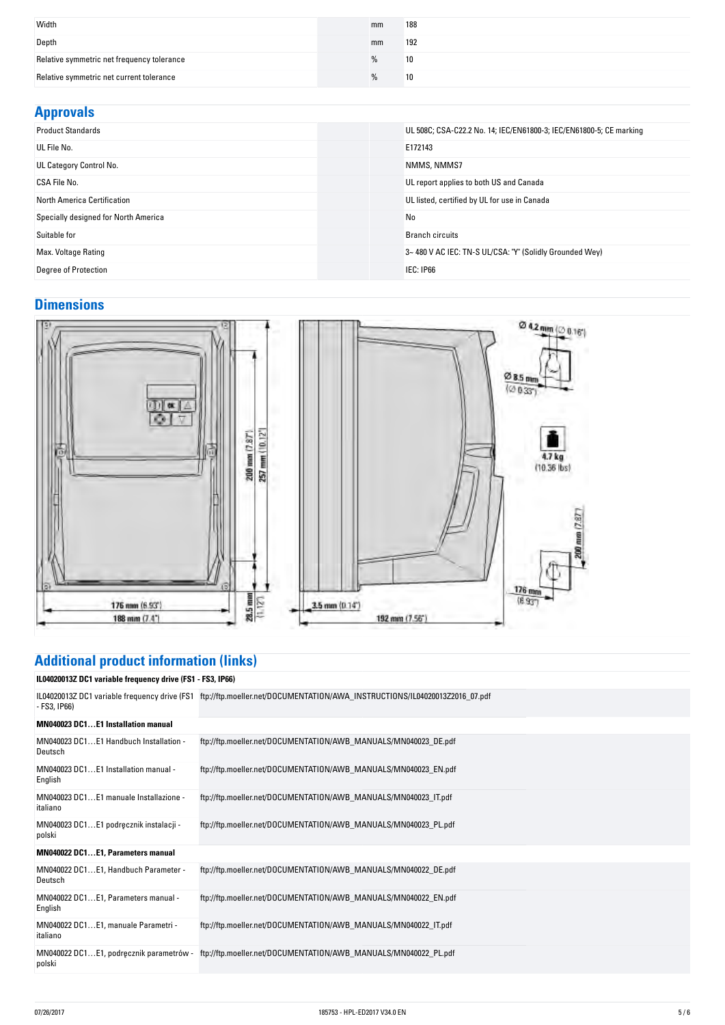| Width                                      | mm | 188 |
|--------------------------------------------|----|-----|
| Depth                                      | mm | 192 |
| Relative symmetric net frequency tolerance | %  | 10  |
| Relative symmetric net current tolerance   | %  | 10  |

#### **Approvals**

| .                                    |                                                                     |
|--------------------------------------|---------------------------------------------------------------------|
| <b>Product Standards</b>             | UL 508C; CSA-C22.2 No. 14; IEC/EN61800-3; IEC/EN61800-5; CE marking |
| UL File No.                          | E172143                                                             |
| UL Category Control No.              | NMMS, NMMS7                                                         |
| CSA File No.                         | UL report applies to both US and Canada                             |
| North America Certification          | UL listed, certified by UL for use in Canada                        |
| Specially designed for North America | No                                                                  |
| Suitable for                         | <b>Branch circuits</b>                                              |
| Max. Voltage Rating                  | 3~480 V AC IEC: TN-S UL/CSA: "Y" (Solidly Grounded Wey)             |
| <b>Degree of Protection</b>          | IEC: IP66                                                           |
|                                      |                                                                     |

## **Dimensions**



# **Additional-product-information-(links)**

**IL04020013Z-DC1-variable-frequency-drive-(FS1---FS3,-IP66)**

| - FS3, IP66)                                       | IL04020013Z DC1 variable frequency drive (FS1 ftp://ftp.moeller.net/DOCUMENTATION/AWA_INSTRUCTIONS/IL04020013Z2016_07.pdf |
|----------------------------------------------------|---------------------------------------------------------------------------------------------------------------------------|
| MN040023 DC1E1 Installation manual                 |                                                                                                                           |
| MN040023 DC1E1 Handbuch Installation -<br>Deutsch  | ftp://ftp.moeller.net/DOCUMENTATION/AWB MANUALS/MN040023 DE.pdf                                                           |
| MN040023 DC1E1 Installation manual -<br>English    | ftp://ftp.moeller.net/DOCUMENTATION/AWB_MANUALS/MN040023_EN.pdf                                                           |
| MN040023 DC1E1 manuale Installazione -<br>italiano | ftp://ftp.moeller.net/DOCUMENTATION/AWB_MANUALS/MN040023_IT.pdf                                                           |
| MN040023 DC1E1 podręcznik instalacji -<br>polski   | ftp://ftp.moeller.net/DOCUMENTATION/AWB_MANUALS/MN040023_PL.pdf                                                           |
| MN040022 DC1E1, Parameters manual                  |                                                                                                                           |
| MN040022 DC1E1, Handbuch Parameter -<br>Deutsch    | ftp://ftp.moeller.net/DOCUMENTATION/AWB MANUALS/MN040022 DE.pdf                                                           |
| MN040022 DC1E1, Parameters manual -<br>English     | ftp://ftp.moeller.net/DOCUMENTATION/AWB_MANUALS/MN040022_EN.pdf                                                           |
| MN040022 DC1E1, manuale Parametri -<br>italiano    | ftp://ftp.moeller.net/DOCUMENTATION/AWB_MANUALS/MN040022_IT.pdf                                                           |
| MN040022 DC1E1, podręcznik parametrów -<br>polski  | ftp://ftp.moeller.net/DOCUMENTATION/AWB_MANUALS/MN040022_PL.pdf                                                           |